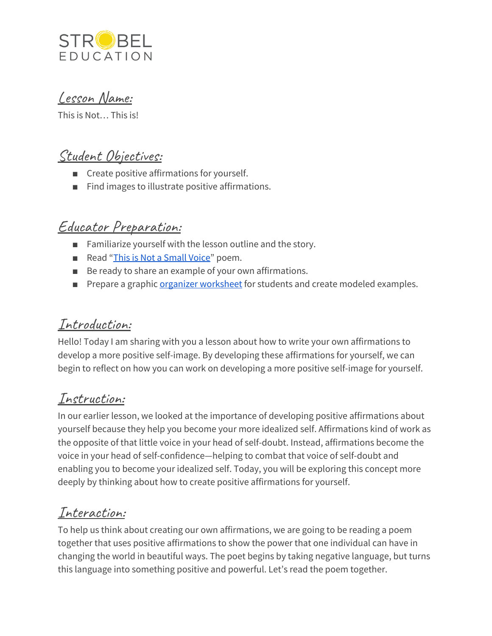

Lesson Name:

This is Not… This is!

## Student Objectives:

- Create positive affirmations for yourself.
- Find images to illustrate positive affirmations.

## Educator Preparation:

- Familiarize yourself with the lesson outline and the story.
- Read "This is Not a [Small](https://www.commonlit.org/en/texts/this-is-not-a-small-voice) Voice" poem.
- Be ready to share an example of your own affirmations.
- Prepare a graphi[c](https://docs.google.com/document/d/1fqKf4cQR2GdMc4C00aivbsJ5wf6_WN54dhVMuvg5cuw/edit?usp=sharing) organizer [worksheet](https://docs.google.com/document/d/1fqKf4cQR2GdMc4C00aivbsJ5wf6_WN54dhVMuvg5cuw/edit?usp=sharing) for students and create modeled examples.

#### Introduction:

Hello! Today I am sharing with you a lesson about how to write your own affirmations to develop a more positive self-image. By developing these affirmations for yourself, we can begin to reflect on how you can work on developing a more positive self-image for yourself.

## Instruction:

In our earlier lesson, we looked at the importance of developing positive affirmations about yourself because they help you become your more idealized self. Affirmations kind of work as the opposite of that little voice in your head of self-doubt. Instead, affirmations become the voice in your head of self-confidence—helping to combat that voice of self-doubt and enabling you to become your idealized self. Today, you will be exploring this concept more deeply by thinking about how to create positive affirmations for yourself.

## Interaction:

To help us think about creating our own affirmations, we are going to be reading a poem together that uses positive affirmations to show the power that one individual can have in changing the world in beautiful ways. The poet begins by taking negative language, but turns this language into something positive and powerful. Let's read the poem together.